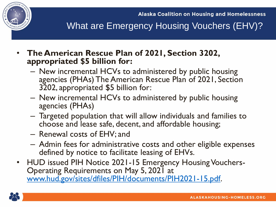

**Alaska Coalition on Housing and Homelessness** 

What are Emergency Housing Vouchers (EHV)?

- **The American Rescue Plan of 2021, Section 3202, appropriated \$5 billion for:**
	- New incremental HCVs to administered by public housing agencies (PHAs) The American Rescue Plan of 2021, Section 3202, appropriated \$5 billion for:
	- New incremental HCVs to administered by public housing agencies (PHAs)
	- Targeted population that will allow individuals and families to choose and lease safe, decent, and affordable housing;
	- Renewal costs of EHV; and
	- Admin fees for administrative costs and other eligible expenses defined by notice to facilitate leasing of EHVs.
- HUD issued PIH Notice 2021-15 Emergency Housing Vouchers-Operating Requirements on May 5, 2021 at [www.hud.gov/sites/dfiles/PIH/documents/PIH2021-15.pdf.](http://www.hud.gov/sites/dfiles/PIH/documents/PIH2021-15.pdf)

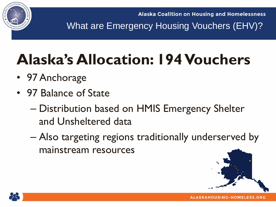

**Alaska Coalition on Housing and Homelessness** 

What are Emergency Housing Vouchers (EHV)?

## **Alaska's Allocation: 194 Vouchers**

- 97 Anchorage
- 97 Balance of State
	- Distribution based on HMIS Emergency Shelter and Unsheltered data
	- Also targeting regions traditionally underserved by mainstream resources



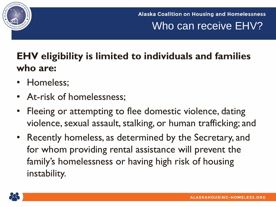

**Alaska Coalition on Housing and Homelessness** Who can receive EHV?

## **EHV eligibility is limited to individuals and families who are:**

- Homeless;
- At-risk of homelessness;
- Fleeing or attempting to flee domestic violence, dating violence, sexual assault, stalking, or human trafficking; and
- Recently homeless, as determined by the Secretary, and for whom providing rental assistance will prevent the family's homelessness or having high risk of housing instability.

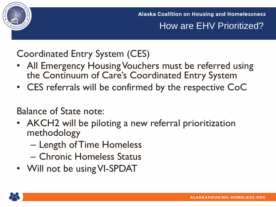

**Alaska Coalition on Housing and Homelessness** How are EHV Prioritized?

Coordinated Entry System (CES)

- All Emergency Housing Vouchers must be referred using the Continuum of Care's Coordinated Entry System
- CES referrals will be confirmed by the respective CoC

Balance of State note:

- AKCH2 will be piloting a new referral prioritization methodology
	- Length of Time Homeless
	- Chronic Homeless Status
- Will not be using VI-SPDAT

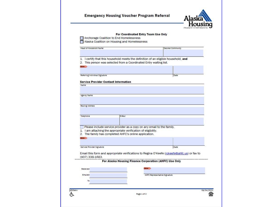|                                             |                                                                                         | For Coordinated Entry Team Use Only |                                                                                             |
|---------------------------------------------|-----------------------------------------------------------------------------------------|-------------------------------------|---------------------------------------------------------------------------------------------|
|                                             | Anchorage Coalition to End Homelessness<br>Alaska Coalition on Housing and Homelessness |                                     |                                                                                             |
|                                             |                                                                                         |                                     |                                                                                             |
| Head of Household Name                      |                                                                                         |                                     | Desired Community                                                                           |
|                                             | 1. I certify that this household meets the definition of an eligible household, and     |                                     |                                                                                             |
|                                             | 2. This person was selected from a Coordinated Entry waiting list.                      |                                     |                                                                                             |
| max <sub>1</sub>                            |                                                                                         |                                     |                                                                                             |
| Referring Individual Signature              |                                                                                         |                                     | Date                                                                                        |
| <b>Service Provider Contact Information</b> |                                                                                         |                                     |                                                                                             |
| Name                                        |                                                                                         |                                     |                                                                                             |
|                                             |                                                                                         |                                     |                                                                                             |
| Agency Name                                 |                                                                                         |                                     |                                                                                             |
|                                             |                                                                                         |                                     |                                                                                             |
| <b>Mailing Address</b>                      |                                                                                         |                                     |                                                                                             |
|                                             |                                                                                         |                                     |                                                                                             |
|                                             |                                                                                         |                                     |                                                                                             |
| Telephone                                   | E-Mail                                                                                  |                                     |                                                                                             |
|                                             | Please include service provider as a copy on any email to the family.                   |                                     |                                                                                             |
|                                             | 1. I am attaching the appropriate verification of eligibility.                          |                                     |                                                                                             |
| $-$                                         | 2. The family has completed AHFC's online application.                                  |                                     |                                                                                             |
|                                             |                                                                                         |                                     |                                                                                             |
| Service Provider Signature                  |                                                                                         |                                     | Date                                                                                        |
| (907) 338-1683.                             |                                                                                         |                                     | Email this form and appropriate verifications to Regina O'Keefe (rokeefe@ahfc.us) or fax to |
|                                             | For Alaska Housing Finance Corporation (AHFC) Use Only                                  |                                     |                                                                                             |
| Received                                    |                                                                                         |                                     |                                                                                             |
| Emailed                                     |                                                                                         |                                     |                                                                                             |
| To                                          |                                                                                         | AHFC Representative Signature       |                                                                                             |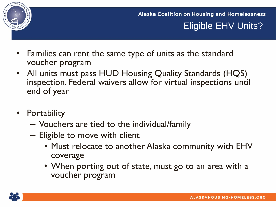

**Alaska Coalition on Housing and Homelessness** Eligible EHV Units?

- Families can rent the same type of units as the standard voucher program
- All units must pass HUD Housing Quality Standards (HQS) inspection. Federal waivers allow for virtual inspections until end of year
- Portability
	- Vouchers are tied to the individual/family
	- Eligible to move with client
		- Must relocate to another Alaska community with EHV coverage
		- When porting out of state, must go to an area with a voucher program

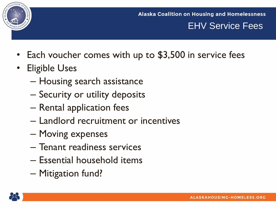

**Alaska Coalition on Housing and Homelessness** EHV Service Fees

- Each voucher comes with up to \$3,500 in service fees
- Eligible Uses
	- Housing search assistance
	- Security or utility deposits
	- Rental application fees
	- Landlord recruitment or incentives
	- Moving expenses
	- Tenant readiness services
	- Essential household items
	- Mitigation fund?